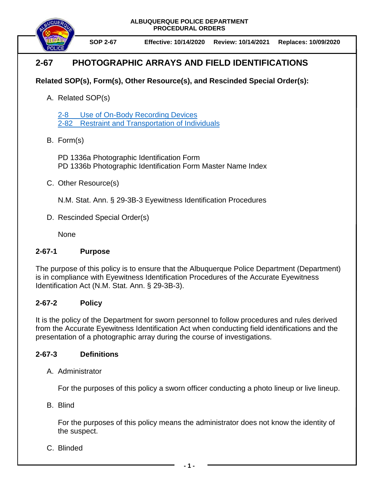

**SOP 2-67 Effective: 10/14/2020 Review: 10/14/2021 Replaces: 10/09/2020**

# **2-67 PHOTOGRAPHIC ARRAYS AND FIELD IDENTIFICATIONS**

# **Related SOP(s), Form(s), Other Resource(s), and Rescinded Special Order(s):**

A. Related SOP(s)

2-8 [Use of On-Body Recording Devices](https://powerdms.com/docs/1137?q=2-8) 2-82 [Restraint and Transportation of Individuals](https://powerdms.com/docs/102?q=2-82)

B. Form(s)

PD 1336a Photographic Identification Form PD 1336b Photographic Identification Form Master Name Index

C. Other Resource(s)

N.M. Stat. Ann. § 29-3B-3 Eyewitness Identification Procedures

D. Rescinded Special Order(s)

None

### **2-67-1 Purpose**

The purpose of this policy is to ensure that the Albuquerque Police Department (Department) is in compliance with Eyewitness Identification Procedures of the Accurate Eyewitness Identification Act (N.M. Stat. Ann. § 29-3B-3).

## **2-67-2 Policy**

It is the policy of the Department for sworn personnel to follow procedures and rules derived from the Accurate Eyewitness Identification Act when conducting field identifications and the presentation of a photographic array during the course of investigations.

### **2-67-3 Definitions**

A. Administrator

For the purposes of this policy a sworn officer conducting a photo lineup or live lineup.

B. Blind

For the purposes of this policy means the administrator does not know the identity of the suspect.

C. Blinded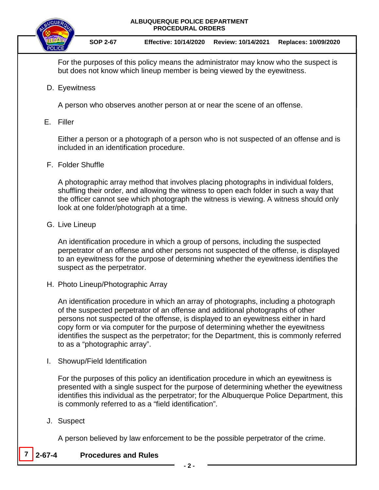



For the purposes of this policy means the administrator may know who the suspect is but does not know which lineup member is being viewed by the eyewitness.

D. Eyewitness

A person who observes another person at or near the scene of an offense.

E. Filler

Either a person or a photograph of a person who is not suspected of an offense and is included in an identification procedure.

F. Folder Shuffle

A photographic array method that involves placing photographs in individual folders, shuffling their order, and allowing the witness to open each folder in such a way that the officer cannot see which photograph the witness is viewing. A witness should only look at one folder/photograph at a time.

G. Live Lineup

An identification procedure in which a group of persons, including the suspected perpetrator of an offense and other persons not suspected of the offense, is displayed to an eyewitness for the purpose of determining whether the eyewitness identifies the suspect as the perpetrator.

H. Photo Lineup/Photographic Array

An identification procedure in which an array of photographs, including a photograph of the suspected perpetrator of an offense and additional photographs of other persons not suspected of the offense, is displayed to an eyewitness either in hard copy form or via computer for the purpose of determining whether the eyewitness identifies the suspect as the perpetrator; for the Department, this is commonly referred to as a "photographic array".

I. Showup/Field Identification

For the purposes of this policy an identification procedure in which an eyewitness is presented with a single suspect for the purpose of determining whether the eyewitness identifies this individual as the perpetrator; for the Albuquerque Police Department, this is commonly referred to as a "field identification".

J. Suspect

A person believed by law enforcement to be the possible perpetrator of the crime.

**7 2-67-4 Procedures and Rules**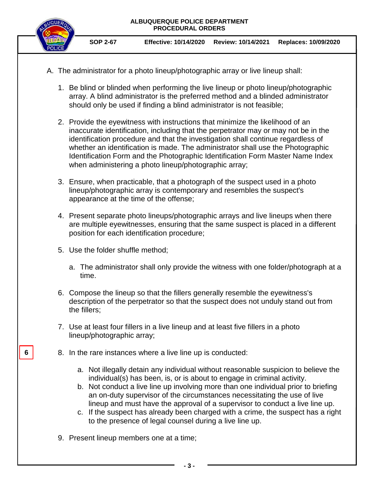

**SOP 2-67 Effective: 10/14/2020 Review: 10/14/2021 Replaces: 10/09/2020**

- A. The administrator for a photo lineup/photographic array or live lineup shall:
	- 1. Be blind or blinded when performing the live lineup or photo lineup/photographic array. A blind administrator is the preferred method and a blinded administrator should only be used if finding a blind administrator is not feasible;
	- 2. Provide the eyewitness with instructions that minimize the likelihood of an inaccurate identification, including that the perpetrator may or may not be in the identification procedure and that the investigation shall continue regardless of whether an identification is made. The administrator shall use the Photographic Identification Form and the Photographic Identification Form Master Name Index when administering a photo lineup/photographic array;
	- 3. Ensure, when practicable, that a photograph of the suspect used in a photo lineup/photographic array is contemporary and resembles the suspect's appearance at the time of the offense;
	- 4. Present separate photo lineups/photographic arrays and live lineups when there are multiple eyewitnesses, ensuring that the same suspect is placed in a different position for each identification procedure;
	- 5. Use the folder shuffle method;
		- a. The administrator shall only provide the witness with one folder/photograph at a time.
	- 6. Compose the lineup so that the fillers generally resemble the eyewitness's description of the perpetrator so that the suspect does not unduly stand out from the fillers;
	- 7. Use at least four fillers in a live lineup and at least five fillers in a photo lineup/photographic array;
	- 8. In the rare instances where a live line up is conducted:
		- a. Not illegally detain any individual without reasonable suspicion to believe the individual(s) has been, is, or is about to engage in criminal activity.
		- b. Not conduct a live line up involving more than one individual prior to briefing an on-duty supervisor of the circumstances necessitating the use of live lineup and must have the approval of a supervisor to conduct a live line up.
		- c. If the suspect has already been charged with a crime, the suspect has a right to the presence of legal counsel during a live line up.
	- 9. Present lineup members one at a time;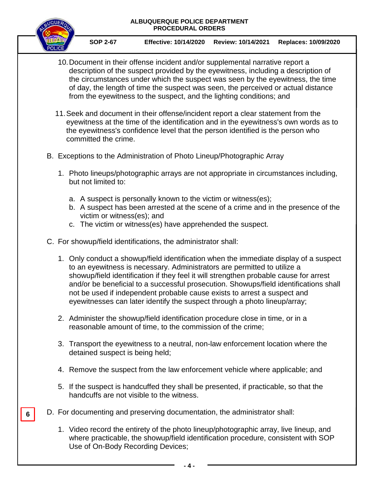

**6**

**SOP 2-67 Effective: 10/14/2020 Review: 10/14/2021 Replaces: 10/09/2020**

- 10.Document in their offense incident and/or supplemental narrative report a description of the suspect provided by the eyewitness, including a description of the circumstances under which the suspect was seen by the eyewitness, the time of day, the length of time the suspect was seen, the perceived or actual distance from the eyewitness to the suspect, and the lighting conditions; and
- 11.Seek and document in their offense/incident report a clear statement from the eyewitness at the time of the identification and in the eyewitness's own words as to the eyewitness's confidence level that the person identified is the person who committed the crime.
- B. Exceptions to the Administration of Photo Lineup/Photographic Array
	- 1. Photo lineups/photographic arrays are not appropriate in circumstances including, but not limited to:
		- a. A suspect is personally known to the victim or witness(es);
		- b. A suspect has been arrested at the scene of a crime and in the presence of the victim or witness(es); and
		- c. The victim or witness(es) have apprehended the suspect.
- C. For showup/field identifications, the administrator shall:
	- 1. Only conduct a showup/field identification when the immediate display of a suspect to an eyewitness is necessary. Administrators are permitted to utilize a showup/field identification if they feel it will strengthen probable cause for arrest and/or be beneficial to a successful prosecution. Showups/field identifications shall not be used if independent probable cause exists to arrest a suspect and eyewitnesses can later identify the suspect through a photo lineup/array;
	- 2. Administer the showup/field identification procedure close in time, or in a reasonable amount of time, to the commission of the crime;
	- 3. Transport the eyewitness to a neutral, non-law enforcement location where the detained suspect is being held;
	- 4. Remove the suspect from the law enforcement vehicle where applicable; and
	- 5. If the suspect is handcuffed they shall be presented, if practicable, so that the handcuffs are not visible to the witness.
- D. For documenting and preserving documentation, the administrator shall:
	- 1. Video record the entirety of the photo lineup/photographic array, live lineup, and where practicable, the showup/field identification procedure, consistent with SOP Use of On-Body Recording Devices;